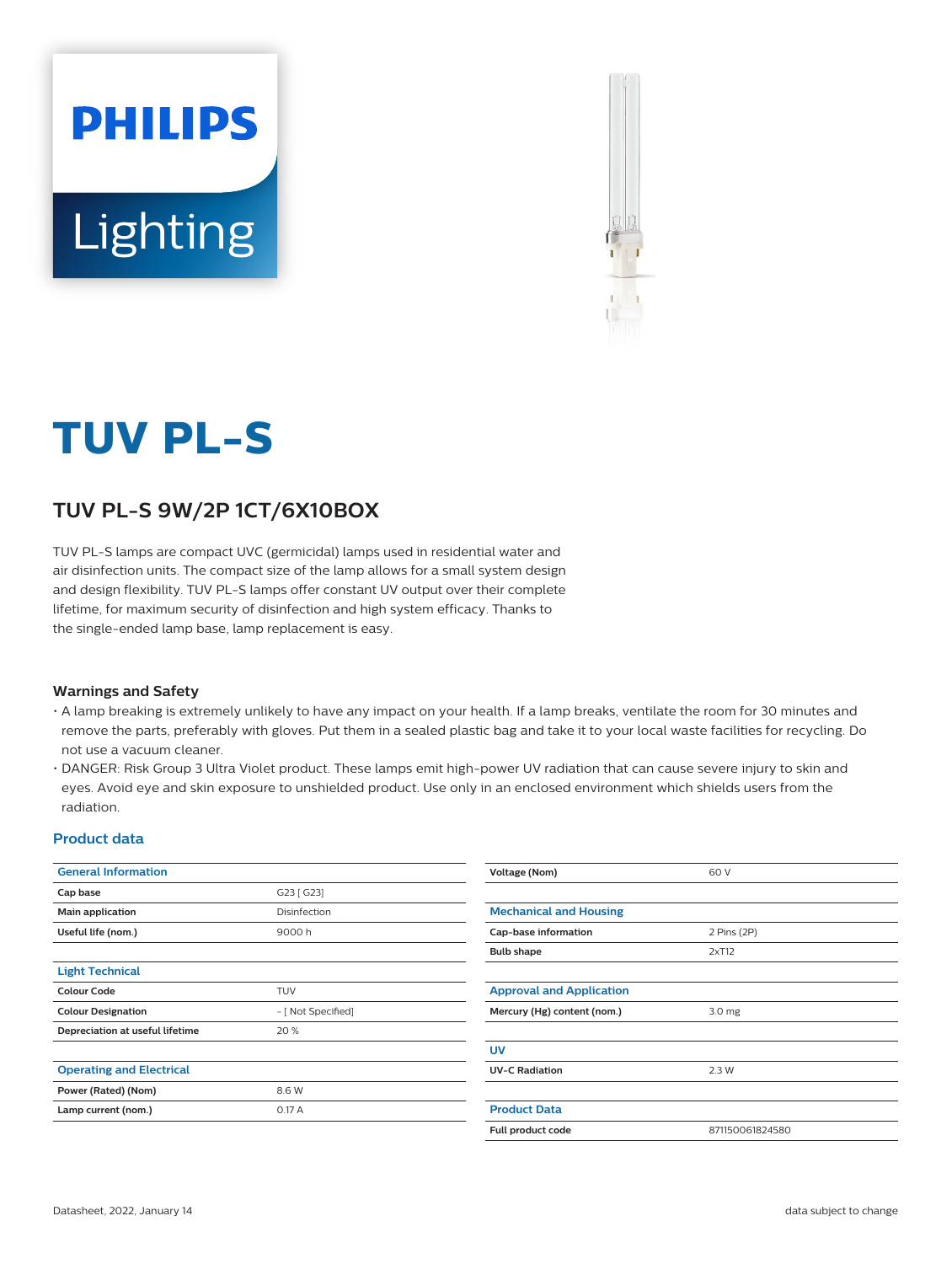



# **TUV PL-S**

## **TUV PL-S 9W/2P 1CT/6X10BOX**

TUV PL-S lamps are compact UVC (germicidal) lamps used in residential water and air disinfection units. The compact size of the lamp allows for a small system design and design flexibility. TUV PL-S lamps offer constant UV output over their complete lifetime, for maximum security of disinfection and high system efficacy. Thanks to the single-ended lamp base, lamp replacement is easy.

## **Warnings and Safety**

- A lamp breaking is extremely unlikely to have any impact on your health. If a lamp breaks, ventilate the room for 30 minutes and remove the parts, preferably with gloves. Put them in a sealed plastic bag and take it to your local waste facilities for recycling. Do not use a vacuum cleaner.
- DANGER: Risk Group 3 Ultra Violet product. These lamps emit high-power UV radiation that can cause severe injury to skin and eyes. Avoid eye and skin exposure to unshielded product. Use only in an enclosed environment which shields users from the radiation.

### **Product data**

| <b>General Information</b>      |                    | Voltage (Nom)                   | 60 V              |  |  |
|---------------------------------|--------------------|---------------------------------|-------------------|--|--|
| Cap base                        | G23 [ G23]         |                                 |                   |  |  |
| Main application                | Disinfection       | <b>Mechanical and Housing</b>   |                   |  |  |
| Useful life (nom.)              | 9000h              | Cap-base information            | 2 Pins (2P)       |  |  |
|                                 |                    | <b>Bulb shape</b>               | 2xT12             |  |  |
| <b>Light Technical</b>          |                    |                                 |                   |  |  |
| <b>Colour Code</b>              | <b>TUV</b>         | <b>Approval and Application</b> |                   |  |  |
| <b>Colour Designation</b>       | - [ Not Specified] | Mercury (Hg) content (nom.)     | 3.0 <sub>mg</sub> |  |  |
| Depreciation at useful lifetime | 20 %               |                                 |                   |  |  |
|                                 |                    | <b>UV</b>                       |                   |  |  |
| <b>Operating and Electrical</b> |                    | <b>UV-C Radiation</b>           | 2.3 W             |  |  |
| Power (Rated) (Nom)             | 8.6 W              |                                 |                   |  |  |
| Lamp current (nom.)             | 0.17A              | <b>Product Data</b>             |                   |  |  |
|                                 |                    | Full product code               | 871150061824580   |  |  |